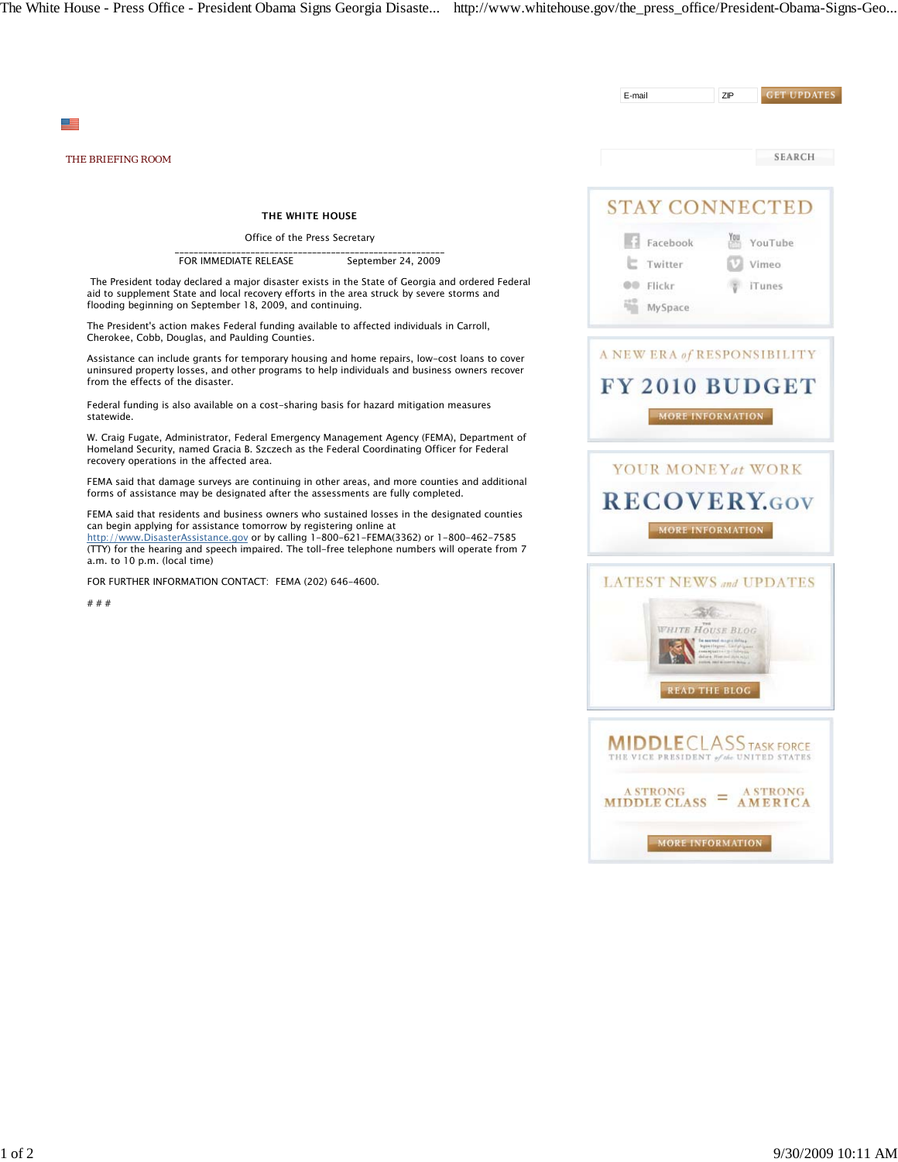The White House - Press Office - President Obama Signs Georgia Disaste... http://www.whitehouse.gov/the\_press\_office/President-Obama-Signs-Geo...